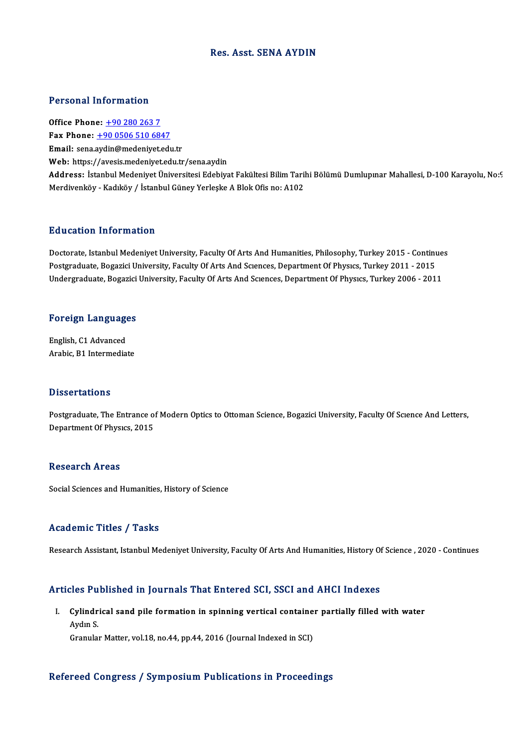### Res. Asst. SENA AYDIN

### Personal Information

Office Phone: +90 280 263 7 Fax Phone:  $+9005065106847$ Email: sena.[aydin@medeniyet.ed](tel:+90 0506 510 6847)u.tr Web: https://avesis.medeniyet.edu.tr/sena.aydin **Email:** sena.aydin@medeniyet.edu.tr<br>Web: https://avesis.medeniyet.edu.tr/sena.aydin<br>Address: İstanbul Medeniyet Üniversitesi Edebiyat Fakültesi Bilim Tarihi Bölümü Dumlupınar Mahallesi, D-100 Karayolu, No:9 Web: https://avesis.medeniyet.edu.tr/sena.aydin<br><mark>Address: İ</mark>stanbul Medeniyet Üniversitesi Edebiyat Fakültesi Bilim Taril<br>Merdivenköy - Kadıköy / İstanbul Güney Yerleşke A Blok Ofis no: A102 Merdivenköy - Kadıköy / İstanbul Güney Yerleşke A Blok Ofis no: A102<br>Education Information

Doctorate, Istanbul Medeniyet University, Faculty Of Arts And Humanities, Philosophy, Turkey 2015 - Continues Pu a cacron Timot inacron<br>Doctorate, Istanbul Medeniyet University, Faculty Of Arts And Humanities, Philosophy, Turkey 2015 - Continu<br>Postgraduate, Bogazici University, Faculty Of Arts And Sciences, Department Of Physics, Doctorate, Istanbul Medeniyet University, Faculty Of Arts And Humanities, Philosophy, Turkey 2015 - Continue<br>Postgraduate, Bogazici University, Faculty Of Arts And Scıences, Department Of Physıcs, Turkey 2011 - 2015<br>Underg

# <sub>ondergraduate, bogazici<br>Foreign Languages</sub>

**Foreign Language<br>English, C1 Advanced<br>Anabis P1 Intermedia** English, C1 Advanced<br>Arabic, B1 Intermediate

#### **Dissertations**

Dissertations<br>Postgraduate, The Entrance of Modern Optics to Ottoman Science, Bogazici University, Faculty Of Science And Letters,<br>Department Of Physics, 2015 Disposites<br>Postgraduate, The Entrance of<br>Department Of Physics, 2015 Department Of Physics, 2015<br>Research Areas

Social Sciences and Humanities, History of Science

#### Academic Titles / Tasks

Research Assistant, Istanbul Medeniyet University, Faculty Of Arts And Humanities, History Of Science , 2020 - Continues

#### Articles Published in Journals That Entered SCI, SSCI and AHCI Indexes

rticles Published in Journals That Entered SCI, SSCI and AHCI Indexes<br>I. Cylindrical sand pile formation in spinning vertical container partially filled with water<br>Avdy S Sizu 1<br>Cylindr<br>Aydın S. Cylindrical sand pile formation in spinning vertical containe<br>Aydın S.<br>Granular Matter, vol.18, no.44, pp.44, 2016 (Journal Indexed in SCI)

## Granular Matter, vol.18, no.44, pp.44, 2016 (Journal Indexed in SCI)<br>Refereed Congress / Symposium Publications in Proceedings